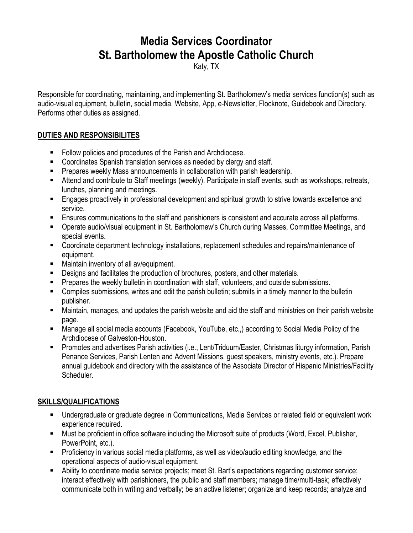## **Media Services Coordinator St. Bartholomew the Apostle Catholic Church**

Katy, TX

Responsible for coordinating, maintaining, and implementing St. Bartholomew's media services function(s) such as audio-visual equipment, bulletin, social media, Website, App, e-Newsletter, Flocknote, Guidebook and Directory. Performs other duties as assigned.

## **DUTIES AND RESPONSIBILITES**

- Follow policies and procedures of the Parish and Archdiocese.
- Coordinates Spanish translation services as needed by clergy and staff.
- **Prepares weekly Mass announcements in collaboration with parish leadership.**
- Attend and contribute to Staff meetings (weekly). Participate in staff events, such as workshops, retreats, lunches, planning and meetings.
- Engages proactively in professional development and spiritual growth to strive towards excellence and service.
- Ensures communications to the staff and parishioners is consistent and accurate across all platforms.
- Operate audio/visual equipment in St. Bartholomew's Church during Masses, Committee Meetings, and special events.
- Coordinate department technology installations, replacement schedules and repairs/maintenance of equipment.
- Maintain inventory of all av/equipment.
- **Designs and facilitates the production of brochures, posters, and other materials.**
- **Prepares the weekly bulletin in coordination with staff, volunteers, and outside submissions.**
- Compiles submissions, writes and edit the parish bulletin; submits in a timely manner to the bulletin publisher.
- Maintain, manages, and updates the parish website and aid the staff and ministries on their parish website page.
- Manage all social media accounts (Facebook, YouTube, etc.,) according to Social Media Policy of the Archdiocese of Galveston-Houston.
- Promotes and advertises Parish activities (i.e., Lent/Triduum/Easter, Christmas liturgy information, Parish Penance Services, Parish Lenten and Advent Missions, guest speakers, ministry events, etc.). Prepare annual guidebook and directory with the assistance of the Associate Director of Hispanic Ministries/Facility Scheduler.

## **SKILLS/QUALIFICATIONS**

- Undergraduate or graduate degree in Communications, Media Services or related field or equivalent work experience required.
- Must be proficient in office software including the Microsoft suite of products (Word, Excel, Publisher, PowerPoint, etc.).
- **Proficiency in various social media platforms, as well as video/audio editing knowledge, and the** operational aspects of audio-visual equipment.
- Ability to coordinate media service projects; meet St. Bart's expectations regarding customer service; interact effectively with parishioners, the public and staff members; manage time/multi-task; effectively communicate both in writing and verbally; be an active listener; organize and keep records; analyze and